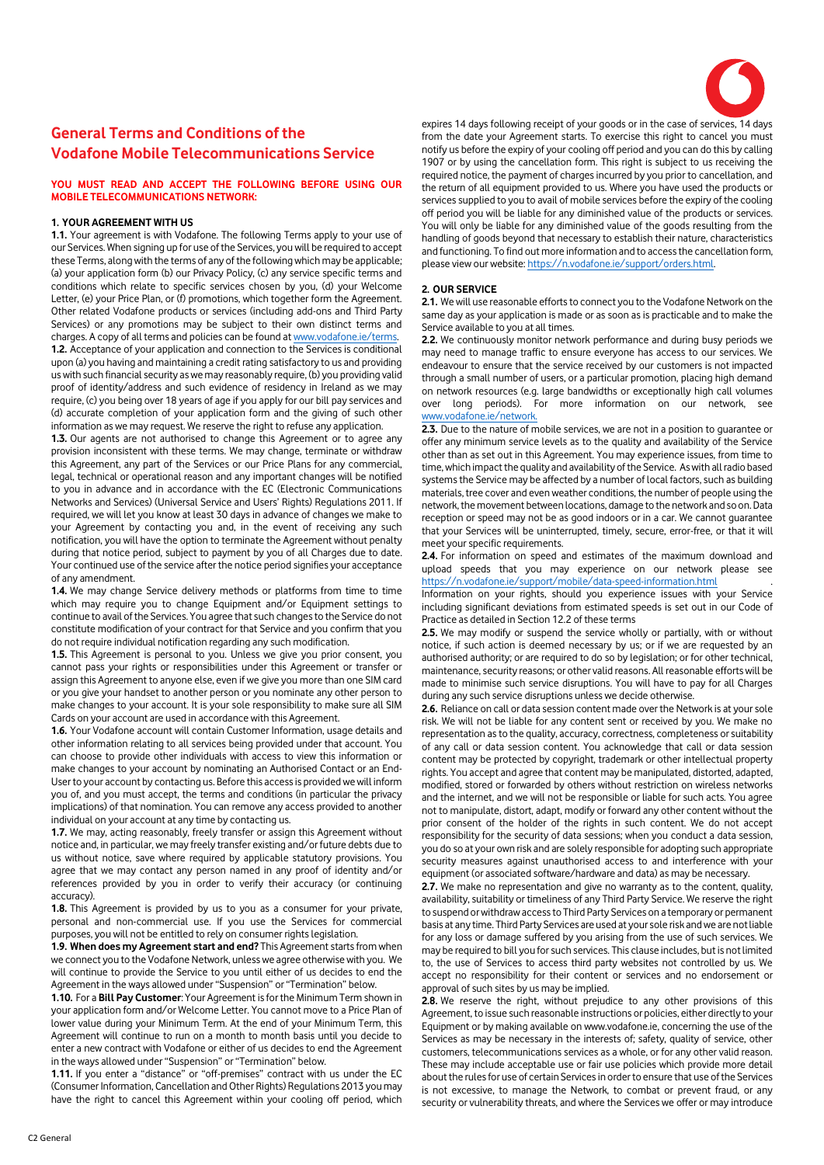

# **General Terms and Conditions of the Vodafone Mobile Telecommunications Service**

# **YOU MUST READ AND ACCEPT THE FOLLOWING BEFORE USING OUR MOBILE TELECOMMUNICATIONS NETWORK:**

# **1. YOUR AGREEMENT WITH US**

**1.1.** Your agreement is with Vodafone. The following Terms apply to your use of our Services. When signing up for use of the Services, you will be required to accept these Terms, along with the terms of any of the following which may be applicable; (a) your application form (b) our Privacy Policy, (c) any service specific terms and conditions which relate to specific services chosen by you, (d) your Welcome Letter, (e) your Price Plan, or (f) promotions, which together form the Agreement. Other related Vodafone products or services (including add-ons and Third Party Services) or any promotions may be subject to their own distinct terms and charges. A copy of all terms and policies can be found a[t www.vodafone.ie/terms.](http://www.vodafone.ie/terms) **1.2.** Acceptance of your application and connection to the Services is conditional upon (a) you having and maintaining a credit rating satisfactory to us and providing us with such financial security as we may reasonably require, (b) you providing valid proof of identity/address and such evidence of residency in Ireland as we may require, (c) you being over 18 years of age if you apply for our bill pay services and (d) accurate completion of your application form and the giving of such other information as we may request. We reserve the right to refuse any application.

**1.3.** Our agents are not authorised to change this Agreement or to agree any provision inconsistent with these terms. We may change, terminate or withdraw this Agreement, any part of the Services or our Price Plans for any commercial, legal, technical or operational reason and any important changes will be notified to you in advance and in accordance with the EC (Electronic Communications Networks and Services) (Universal Service and Users' Rights) Regulations 2011. If required, we will let you know at least 30 days in advance of changes we make to your Agreement by contacting you and, in the event of receiving any such notification, you will have the option to terminate the Agreement without penalty during that notice period, subject to payment by you of all Charges due to date. Your continued use of the service after the notice period signifies your acceptance of any amendment.

**1.4.** We may change Service delivery methods or platforms from time to time which may require you to change Equipment and/or Equipment settings to continue to avail of the Services. You agree that such changes to the Service do not constitute modification of your contract for that Service and you confirm that you do not require individual notification regarding any such modification.

**1.5.** This Agreement is personal to you. Unless we give you prior consent, you cannot pass your rights or responsibilities under this Agreement or transfer or assign this Agreement to anyone else, even if we give you more than one SIM card or you give your handset to another person or you nominate any other person to make changes to your account. It is your sole responsibility to make sure all SIM Cards on your account are used in accordance with this Agreement.

**1.6.** Your Vodafone account will contain Customer Information, usage details and other information relating to all services being provided under that account. You can choose to provide other individuals with access to view this information or make changes to your account by nominating an Authorised Contact or an End-User to your account by contacting us. Before this access is provided we will inform you of, and you must accept, the terms and conditions (in particular the privacy implications) of that nomination. You can remove any access provided to another individual on your account at any time by contacting us.

**1.7.** We may, acting reasonably, freely transfer or assign this Agreement without notice and, in particular, we may freely transfer existing and/or future debts due to us without notice, save where required by applicable statutory provisions. You agree that we may contact any person named in any proof of identity and/or references provided by you in order to verify their accuracy (or continuing accuracy).

**1.8.** This Agreement is provided by us to you as a consumer for your private, personal and non-commercial use. If you use the Services for commercial purposes, you will not be entitled to rely on consumer rights legislation.

**1.9. When does my Agreement start and end?** This Agreement starts from when we connect you to the Vodafone Network, unless we agree otherwise with you. We will continue to provide the Service to you until either of us decides to end the Agreement in the ways allowed under "Suspension" or "Termination" below.

**1.10.** For a **Bill Pay Customer**: Your Agreement is for the Minimum Term shown in your application form and/or Welcome Letter. You cannot move to a Price Plan of lower value during your Minimum Term. At the end of your Minimum Term, this Agreement will continue to run on a month to month basis until you decide to enter a new contract with Vodafone or either of us decides to end the Agreement in the ways allowed under "Suspension" or "Termination" below.

**1.11.** If you enter a "distance" or "off-premises" contract with us under the EC (Consumer Information, Cancellation and Other Rights) Regulations 2013 you may have the right to cancel this Agreement within your cooling off period, which

expires 14 days following receipt of your goods or in the case of services, 14 days from the date your Agreement starts. To exercise this right to cancel you must notify us before the expiry of your cooling off period and you can do this by calling 1907 or by using the cancellation form. This right is subject to us receiving the required notice, the payment of charges incurred by you prior to cancellation, and the return of all equipment provided to us. Where you have used the products or services supplied to you to avail of mobile services before the expiry of the cooling off period you will be liable for any diminished value of the products or services. You will only be liable for any diminished value of the goods resulting from the handling of goods beyond that necessary to establish their nature, characteristics and functioning. To find out more information and to access the cancellation form, please view our website[: https://n.vodafone.ie/support/orders.html.](https://n.vodafone.ie/support/orders.html)

#### **2. OUR SERVICE**

**2.1.** We will use reasonable efforts to connect you to the Vodafone Network on the same day as your application is made or as soon as is practicable and to make the Service available to you at all times.

**2.2.** We continuously monitor network performance and during busy periods we may need to manage traffic to ensure everyone has access to our services. We endeavour to ensure that the service received by our customers is not impacted through a small number of users, or a particular promotion, placing high demand on network resources (e.g. large bandwidths or exceptionally high call volumes over long periods). For more information on our network, see [www.vodafone.ie/network.](http://www.vodafone.ie/network)

**2.3.** Due to the nature of mobile services, we are not in a position to guarantee or offer any minimum service levels as to the quality and availability of the Service other than as set out in this Agreement. You may experience issues, from time to time, which impact the quality and availability of the Service. As with all radio based systems the Service may be affected by a number of local factors, such as building materials, tree cover and even weather conditions, the number of people using the network, the movement between locations, damage to the network and so on. Data reception or speed may not be as good indoors or in a car. We cannot guarantee that your Services will be uninterrupted, timely, secure, error-free, or that it will meet your specific requirements.

**2.4.** For information on speed and estimates of the maximum download and upload speeds that you may experience on our network please see <https://n.vodafone.ie/support/mobile/data-speed-information.html>

Information on your rights, should you experience issues with your Service including significant deviations from estimated speeds is set out in our Code of Practice as detailed in Section 12.2 of these terms

**2.5.** We may modify or suspend the service wholly or partially, with or without notice, if such action is deemed necessary by us; or if we are requested by an authorised authority; or are required to do so by legislation; or for other technical, maintenance, security reasons; or other valid reasons. All reasonable efforts will be made to minimise such service disruptions. You will have to pay for all Charges during any such service disruptions unless we decide otherwise.

**2.6.** Reliance on call or data session content made over the Network is at your sole risk. We will not be liable for any content sent or received by you. We make no representation as to the quality, accuracy, correctness, completeness or suitability of any call or data session content. You acknowledge that call or data session content may be protected by copyright, trademark or other intellectual property rights. You accept and agree that content may be manipulated, distorted, adapted, modified, stored or forwarded by others without restriction on wireless networks and the internet, and we will not be responsible or liable for such acts. You agree not to manipulate, distort, adapt, modify or forward any other content without the prior consent of the holder of the rights in such content. We do not accept responsibility for the security of data sessions; when you conduct a data session, you do so at your own risk and are solely responsible for adopting such appropriate security measures against unauthorised access to and interference with your equipment (or associated software/hardware and data) as may be necessary.

**2.7.** We make no representation and give no warranty as to the content, quality, availability, suitability or timeliness of any Third Party Service. We reserve the right to suspend or withdraw access to Third Party Services on a temporary or permanent basis at any time. Third Party Services are used at your sole risk and we are not liable for any loss or damage suffered by you arising from the use of such services. We may be required to bill you for such services. This clause includes, but is not limited to, the use of Services to access third party websites not controlled by us. We accept no responsibility for their content or services and no endorsement or approval of such sites by us may be implied.

**2.8.** We reserve the right, without prejudice to any other provisions of this Agreement, to issue such reasonable instructions or policies, either directly to your Equipment or by making available on www.vodafone.ie, concerning the use of the Services as may be necessary in the interests of; safety, quality of service, other customers, telecommunications services as a whole, or for any other valid reason. These may include acceptable use or fair use policies which provide more detail about the rules for use of certain Services in order to ensure that use of the Services is not excessive, to manage the Network, to combat or prevent fraud, or any security or vulnerability threats, and where the Services we offer or may introduce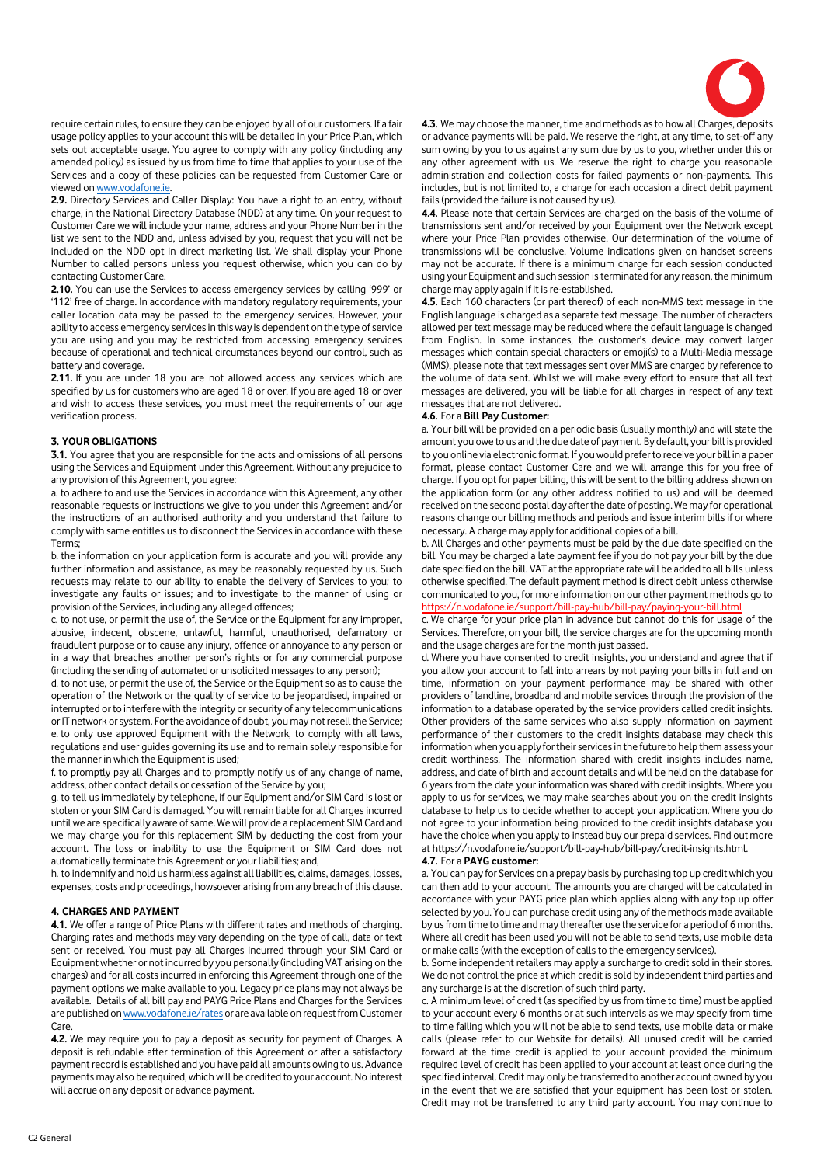

require certain rules, to ensure they can be enjoyed by all of our customers. If a fair usage policy applies to your account this will be detailed in your Price Plan, which sets out acceptable usage. You agree to comply with any policy (including any amended policy) as issued by us from time to time that applies to your use of the Services and a copy of these policies can be requested from Customer Care or viewed on www.vodafone.ie.

**2.9.** Directory Services and Caller Display: You have a right to an entry, without charge, in the National Directory Database (NDD) at any time. On your request to Customer Care we will include your name, address and your Phone Number in the list we sent to the NDD and, unless advised by you, request that you will not be included on the NDD opt in direct marketing list. We shall display your Phone Number to called persons unless you request otherwise, which you can do by contacting Customer Care.

**2.10.** You can use the Services to access emergency services by calling '999' or '112' free of charge. In accordance with mandatory regulatory requirements, your caller location data may be passed to the emergency services. However, your ability to access emergency services in this way is dependent on the type of service you are using and you may be restricted from accessing emergency services because of operational and technical circumstances beyond our control, such as battery and coverage.

**2.11.** If you are under 18 you are not allowed access any services which are specified by us for customers who are aged 18 or over. If you are aged 18 or over and wish to access these services, you must meet the requirements of our age verification process.

#### **3. YOUR OBLIGATIONS**

**3.1.** You agree that you are responsible for the acts and omissions of all persons using the Services and Equipment under this Agreement. Without any prejudice to any provision of this Agreement, you agree:

a. to adhere to and use the Services in accordance with this Agreement, any other reasonable requests or instructions we give to you under this Agreement and/or the instructions of an authorised authority and you understand that failure to comply with same entitles us to disconnect the Services in accordance with these Terms;

b. the information on your application form is accurate and you will provide any further information and assistance, as may be reasonably requested by us. Such requests may relate to our ability to enable the delivery of Services to you; to investigate any faults or issues; and to investigate to the manner of using or provision of the Services, including any alleged offences;

c. to not use, or permit the use of, the Service or the Equipment for any improper, abusive, indecent, obscene, unlawful, harmful, unauthorised, defamatory or fraudulent purpose or to cause any injury, offence or annoyance to any person or in a way that breaches another person's rights or for any commercial purpose (including the sending of automated or unsolicited messages to any person);

d. to not use, or permit the use of, the Service or the Equipment so as to cause the operation of the Network or the quality of service to be jeopardised, impaired or interrupted or to interfere with the integrity or security of any telecommunications or IT network or system. For the avoidance of doubt, you may not resell the Service; e. to only use approved Equipment with the Network, to comply with all laws, regulations and user guides governing its use and to remain solely responsible for the manner in which the Equipment is used;

f. to promptly pay all Charges and to promptly notify us of any change of name, address, other contact details or cessation of the Service by you;

g. to tell us immediately by telephone, if our Equipment and/or SIM Card is lost or stolen or your SIM Card is damaged. You will remain liable for all Charges incurred until we are specifically aware of same. We will provide a replacement SIM Card and we may charge you for this replacement SIM by deducting the cost from your account. The loss or inability to use the Equipment or SIM Card does not automatically terminate this Agreement or your liabilities; and,

h. to indemnify and hold us harmless against all liabilities, claims, damages, losses, expenses, costs and proceedings, howsoever arising from any breach of this clause.

# **4. CHARGES AND PAYMENT**

**4.1.** We offer a range of Price Plans with different rates and methods of charging. Charging rates and methods may vary depending on the type of call, data or text sent or received. You must pay all Charges incurred through your SIM Card or Equipment whether or not incurred by you personally (including VAT arising on the charges) and for all costs incurred in enforcing this Agreement through one of the payment options we make available to you. Legacy price plans may not always be available. Details of all bill pay and PAYG Price Plans and Charges for the Services are published o[n www.vodafone.ie/rates](http://www.vodafone.ie/rates) or are available on request from Customer Care.

**4.2.** We may require you to pay a deposit as security for payment of Charges. A deposit is refundable after termination of this Agreement or after a satisfactory payment record is established and you have paid all amounts owing to us. Advance payments may also be required, which will be credited to your account. No interest will accrue on any deposit or advance payment.

**4.3.** We may choose the manner, time and methods as to how all Charges, deposits or advance payments will be paid. We reserve the right, at any time, to set-off any sum owing by you to us against any sum due by us to you, whether under this or any other agreement with us. We reserve the right to charge you reasonable administration and collection costs for failed payments or non-payments. This includes, but is not limited to, a charge for each occasion a direct debit payment fails (provided the failure is not caused by us).

**4.4.** Please note that certain Services are charged on the basis of the volume of transmissions sent and/or received by your Equipment over the Network except where your Price Plan provides otherwise. Our determination of the volume of transmissions will be conclusive. Volume indications given on handset screens may not be accurate. If there is a minimum charge for each session conducted using your Equipment and such session is terminated for any reason, the minimum charge may apply again if it is re-established.

**4.5.** Each 160 characters (or part thereof) of each non-MMS text message in the English language is charged as a separate text message. The number of characters allowed per text message may be reduced where the default language is changed from English. In some instances, the customer's device may convert larger messages which contain special characters or emoji(s) to a Multi-Media message (MMS), please note that text messages sent over MMS are charged by reference to the volume of data sent. Whilst we will make every effort to ensure that all text messages are delivered, you will be liable for all charges in respect of any text messages that are not delivered.

#### **4.6.** For a **Bill Pay Customer:**

a. Your bill will be provided on a periodic basis (usually monthly) and will state the amount you owe to us and the due date of payment. By default, your bill is provided to you online via electronic format. If you would prefer to receive your bill in a paper format, please contact Customer Care and we will arrange this for you free of charge. If you opt for paper billing, this will be sent to the billing address shown on the application form (or any other address notified to us) and will be deemed received on the second postal day after the date of posting. We may for operational reasons change our billing methods and periods and issue interim bills if or where necessary. A charge may apply for additional copies of a bill.

b. All Charges and other payments must be paid by the due date specified on the bill. You may be charged a late payment fee if you do not pay your bill by the due date specified on the bill. VAT at the appropriate rate will be added to all bills unless otherwise specified. The default payment method is direct debit unless otherwise communicated to you, for more information on our other payment methods go to <https://n.vodafone.ie/support/bill-pay-hub/bill-pay/paying-your-bill.html>

c. We charge for your price plan in advance but cannot do this for usage of the Services. Therefore, on your bill, the service charges are for the upcoming month and the usage charges are for the month just passed.

d. Where you have consented to credit insights, you understand and agree that if you allow your account to fall into arrears by not paying your bills in full and on time, information on your payment performance may be shared with other providers of landline, broadband and mobile services through the provision of the information to a database operated by the service providers called credit insights. Other providers of the same services who also supply information on payment performance of their customers to the credit insights database may check this information when you apply for their services in the future to help them assess your credit worthiness. The information shared with credit insights includes name, address, and date of birth and account details and will be held on the database for 6 years from the date your information was shared with credit insights. Where you apply to us for services, we may make searches about you on the credit insights database to help us to decide whether to accept your application. Where you do not agree to your information being provided to the credit insights database you have the choice when you apply to instead buy our prepaid services. Find out more at https://n.vodafone.ie/support/bill-pay-hub/bill-pay/credit-insights.html.

#### **4.7.** For a **PAYG customer:**

a. You can pay for Services on a prepay basis by purchasing top up credit which you can then add to your account. The amounts you are charged will be calculated in accordance with your PAYG price plan which applies along with any top up offer selected by you. You can purchase credit using any of the methods made available by us from time to time and may thereafter use the service for a period of 6 months. Where all credit has been used you will not be able to send texts, use mobile data or make calls (with the exception of calls to the emergency services).

b. Some independent retailers may apply a surcharge to credit sold in their stores. We do not control the price at which credit is sold by independent third parties and any surcharge is at the discretion of such third party.

c. A minimum level of credit (as specified by us from time to time) must be applied to your account every 6 months or at such intervals as we may specify from time to time failing which you will not be able to send texts, use mobile data or make calls (please refer to our Website for details). All unused credit will be carried forward at the time credit is applied to your account provided the minimum required level of credit has been applied to your account at least once during the specified interval. Credit may only be transferred to another account owned by you in the event that we are satisfied that your equipment has been lost or stolen. Credit may not be transferred to any third party account. You may continue to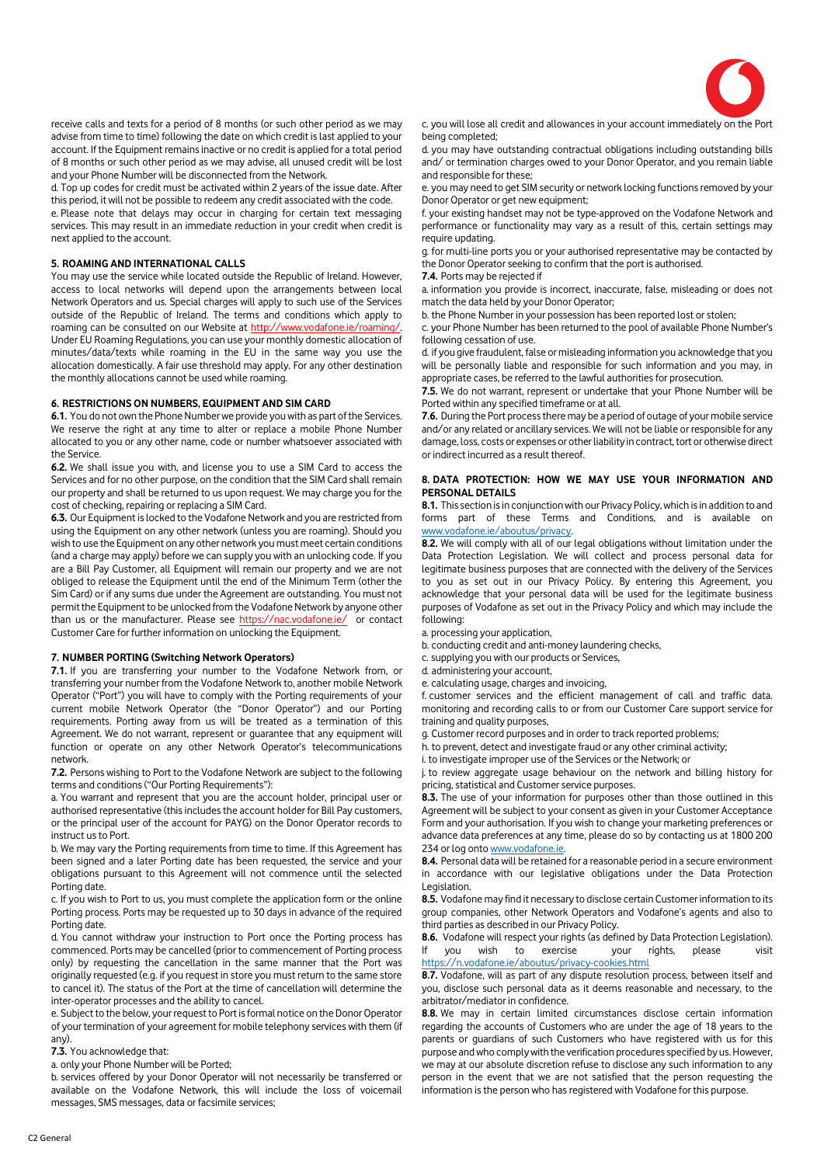

receive calls and texts for a period of 8 months (or such other period as we may advise from time to time) following the date on which credit is last applied to your account. If the Equipment remains inactive or no credit is applied for a total period of 8 months or such other period as we may advise, all unused credit will be lost and your Phone Number will be disconnected from the Network.

d. Top up codes for credit must be activated within 2 years of the issue date. After this period, it will not be possible to redeem any credit associated with the code.

e. Please note that delays may occur in charging for certain text messaging services. This may result in an immediate reduction in your credit when credit is next applied to the account.

# **5. ROAMING AND INTERNATIONAL CALLS**

You may use the service while located outside the Republic of Ireland. However, access to local networks will depend upon the arrangements between local Network Operators and us. Special charges will apply to such use of the Services outside of the Republic of Ireland. The terms and conditions which apply to roaming can be consulted on our Website at http://www.vodafone.ie/roaming/. Under EU Roaming Regulations, you can use your monthly domestic allocation of minutes/data/texts while roaming in the EU in the same way you use the allocation domestically. A fair use threshold may apply. For any other destination the monthly allocations cannot be used while roaming.

#### **6. RESTRICTIONS ON NUMBERS, EQUIPMENT AND SIM CARD**

**6.1.** You do not own the Phone Number we provide you with as part of the Services. We reserve the right at any time to alter or replace a mobile Phone Number allocated to you or any other name, code or number whatsoever associated with the Service.

**6.2.** We shall issue you with, and license you to use a SIM Card to access the Services and for no other purpose, on the condition that the SIM Card shall remain our property and shall be returned to us upon request. We may charge you for the cost of checking, repairing or replacing a SIM Card.

**6.3.** Our Equipment is locked to the Vodafone Network and you are restricted from using the Equipment on any other network (unless you are roaming). Should you wish to use the Equipment on any other network you must meet certain conditions (and a charge may apply) before we can supply you with an unlocking code. If you are a Bill Pay Customer, all Equipment will remain our property and we are not obliged to release the Equipment until the end of the Minimum Term (other the Sim Card) or if any sums due under the Agreement are outstanding. You must not permit the Equipment to be unlocked from the Vodafone Network by anyone other than us or the manufacturer. Please see<https://nac.vodafone.ie/>or contact Customer Care for further information on unlocking the Equipment.

# **7. NUMBER PORTING (Switching Network Operators)**

**7.1.** If you are transferring your number to the Vodafone Network from, or transferring your number from the Vodafone Network to, another mobile Network Operator ("Port") you will have to comply with the Porting requirements of your current mobile Network Operator (the "Donor Operator") and our Porting requirements. Porting away from us will be treated as a termination of this Agreement. We do not warrant, represent or guarantee that any equipment will function or operate on any other Network Operator's telecommunications network.

**7.2.** Persons wishing to Port to the Vodafone Network are subject to the following terms and conditions ("Our Porting Requirements"):

a. You warrant and represent that you are the account holder, principal user or authorised representative (this includes the account holder for Bill Pay customers, or the principal user of the account for PAYG) on the Donor Operator records to instruct us to Port.

b. We may vary the Porting requirements from time to time. If this Agreement has been signed and a later Porting date has been requested, the service and your obligations pursuant to this Agreement will not commence until the selected Porting date.

c. If you wish to Port to us, you must complete the application form or the online Porting process. Ports may be requested up to 30 days in advance of the required Porting date.

d. You cannot withdraw your instruction to Port once the Porting process has commenced. Ports may be cancelled (prior to commencement of Porting process only) by requesting the cancellation in the same manner that the Port was originally requested (e.g. if you request in store you must return to the same store to cancel it). The status of the Port at the time of cancellation will determine the inter-operator processes and the ability to cancel.

e. Subject to the below, your request to Port is formal notice on the Donor Operator of your termination of your agreement for mobile telephony services with them (if any).

# **7.3.** You acknowledge that:

a. only your Phone Number will be Ported;

b. services offered by your Donor Operator will not necessarily be transferred or available on the Vodafone Network, this will include the loss of voicemail messages, SMS messages, data or facsimile services;

c. you will lose all credit and allowances in your account immediately on the Port being completed;

d. you may have outstanding contractual obligations including outstanding bills and/ or termination charges owed to your Donor Operator, and you remain liable and responsible for these;

e. you may need to get SIM security or network locking functions removed by your Donor Operator or get new equipment;

f. your existing handset may not be type-approved on the Vodafone Network and performance or functionality may vary as a result of this, certain settings may require updating.

g. for multi-line ports you or your authorised representative may be contacted by the Donor Operator seeking to confirm that the port is authorised.

# **7.4.** Ports may be rejected if

a. information you provide is incorrect, inaccurate, false, misleading or does not match the data held by your Donor Operator;

b. the Phone Number in your possession has been reported lost or stolen;

c. your Phone Number has been returned to the pool of available Phone Number's following cessation of use.

d. if you give fraudulent, false or misleading information you acknowledge that you will be personally liable and responsible for such information and you may, in appropriate cases, be referred to the lawful authorities for prosecution.

**7.5.** We do not warrant, represent or undertake that your Phone Number will be Ported within any specified timeframe or at all.

**7.6.** During the Port process there may be a period of outage of your mobile service and/or any related or ancillary services. We will not be liable or responsible for any damage, loss, costs or expenses or other liability in contract, tort or otherwise direct or indirect incurred as a result thereof.

# **8. DATA PROTECTION: HOW WE MAY USE YOUR INFORMATION AND PERSONAL DETAILS**

**8.1.** This section is in conjunction with our Privacy Policy, which is in addition to and forms part of these Terms and Conditions, and is available on [www.vodafone.ie/aboutus/privacy.](http://www.vodafone.ie/aboutus/privacy)

**8.2.** We will comply with all of our legal obligations without limitation under the Data Protection Legislation. We will collect and process personal data for legitimate business purposes that are connected with the delivery of the Services to you as set out in our Privacy Policy. By entering this Agreement, you acknowledge that your personal data will be used for the legitimate business purposes of Vodafone as set out in the Privacy Policy and which may include the following:

a. processing your application,

b. conducting credit and anti-money laundering checks,

c. supplying you with our products or Services,

d. administering your account,

e. calculating usage, charges and invoicing,

f. customer services and the efficient management of call and traffic data. monitoring and recording calls to or from our Customer Care support service for training and quality purposes,

g. Customer record purposes and in order to track reported problems;

h. to prevent, detect and investigate fraud or any other criminal activity;

i. to investigate improper use of the Services or the Network; or

j. to review aggregate usage behaviour on the network and billing history for pricing, statistical and Customer service purposes.

**8.3.** The use of your information for purposes other than those outlined in this Agreement will be subject to your consent as given in your Customer Acceptance Form and your authorisation. If you wish to change your marketing preferences or advance data preferences at any time, please do so by contacting us at 1800 200 234 or log ont[o www.vodafone.ie.](http://www.vodafone.ie/)

**8.4.** Personal data will be retained for a reasonable period in a secure environment in accordance with our legislative obligations under the Data Protection Legislation.

**8.5.** Vodafone may find it necessary to disclose certain Customer information to its group companies, other Network Operators and Vodafone's agents and also to third parties as described in our Privacy Policy.

**8.6.** Vodafone will respect your rights (as defined by Data Protection Legislation).<br>If you wish to exercise your rights, please visit If you wish to exercise your rights, please visit <https://n.vodafone.ie/aboutus/privacy-cookies.html>

**8.7.** Vodafone, will as part of any dispute resolution process, between itself and you, disclose such personal data as it deems reasonable and necessary, to the arbitrator/mediator in confidence.

**8.8.** We may in certain limited circumstances disclose certain information regarding the accounts of Customers who are under the age of 18 years to the parents or guardians of such Customers who have registered with us for this purpose and who comply with the verification procedures specified by us. However, we may at our absolute discretion refuse to disclose any such information to any person in the event that we are not satisfied that the person requesting the information is the person who has registered with Vodafone for this purpose.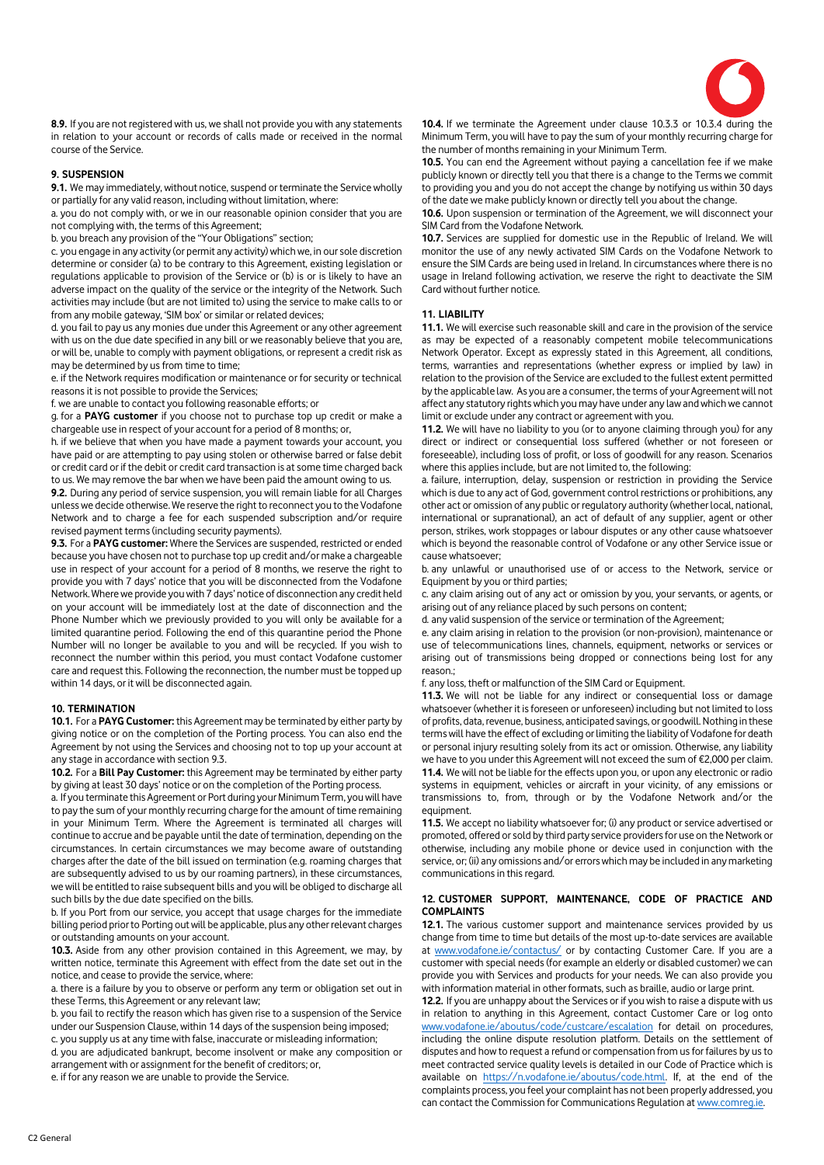

**8.9.** If you are not registered with us, we shall not provide you with any statements in relation to your account or records of calls made or received in the normal course of the Service.

# **9. SUSPENSION**

**9.1.** We may immediately, without notice, suspend or terminate the Service wholly or partially for any valid reason, including without limitation, where:

a. you do not comply with, or we in our reasonable opinion consider that you are not complying with, the terms of this Agreement;

b. you breach any provision of the "Your Obligations" section;

c. you engage in any activity (or permit any activity) which we, in our sole discretion determine or consider (a) to be contrary to this Agreement, existing legislation or regulations applicable to provision of the Service or (b) is or is likely to have an adverse impact on the quality of the service or the integrity of the Network. Such activities may include (but are not limited to) using the service to make calls to or from any mobile gateway, 'SIM box' or similar or related devices;

d. you fail to pay us any monies due under this Agreement or any other agreement with us on the due date specified in any bill or we reasonably believe that you are, or will be, unable to comply with payment obligations, or represent a credit risk as may be determined by us from time to time;

e. if the Network requires modification or maintenance or for security or technical reasons it is not possible to provide the Services;

f. we are unable to contact you following reasonable efforts; or

g. for a **PAYG customer** if you choose not to purchase top up credit or make a chargeable use in respect of your account for a period of 8 months; or,

h. if we believe that when you have made a payment towards your account, you have paid or are attempting to pay using stolen or otherwise barred or false debit or credit card or if the debit or credit card transaction is at some time charged back to us. We may remove the bar when we have been paid the amount owing to us.

**9.2.** During any period of service suspension, you will remain liable for all Charges unless we decide otherwise. We reserve the right to reconnect you to the Vodafone Network and to charge a fee for each suspended subscription and/or require revised payment terms (including security payments).

**9.3.** For a **PAYG customer:** Where the Services are suspended, restricted or ended because you have chosen not to purchase top up credit and/or make a chargeable use in respect of your account for a period of 8 months, we reserve the right to provide you with 7 days' notice that you will be disconnected from the Vodafone Network. Where we provide you with 7 days' notice of disconnection any credit held on your account will be immediately lost at the date of disconnection and the Phone Number which we previously provided to you will only be available for a limited quarantine period. Following the end of this quarantine period the Phone Number will no longer be available to you and will be recycled. If you wish to reconnect the number within this period, you must contact Vodafone customer care and request this. Following the reconnection, the number must be topped up within 14 days, or it will be disconnected again.

#### **10. TERMINATION**

**10.1.** For a **PAYG Customer:** this Agreement may be terminated by either party by giving notice or on the completion of the Porting process. You can also end the Agreement by not using the Services and choosing not to top up your account at any stage in accordance with section 9.3.

**10.2.** For a **Bill Pay Customer:** this Agreement may be terminated by either party by giving at least 30 days' notice or on the completion of the Porting process.

a. If you terminate this Agreement or Port during your Minimum Term, you will have to pay the sum of your monthly recurring charge for the amount of time remaining in your Minimum Term. Where the Agreement is terminated all charges will continue to accrue and be payable until the date of termination, depending on the circumstances. In certain circumstances we may become aware of outstanding charges after the date of the bill issued on termination (e.g. roaming charges that are subsequently advised to us by our roaming partners), in these circumstances, we will be entitled to raise subsequent bills and you will be obliged to discharge all such bills by the due date specified on the bills.

b. If you Port from our service, you accept that usage charges for the immediate billing period prior to Porting out will be applicable, plus any other relevant charges or outstanding amounts on your account.

**10.3.** Aside from any other provision contained in this Agreement, we may, by written notice, terminate this Agreement with effect from the date set out in the notice, and cease to provide the service, where:

a. there is a failure by you to observe or perform any term or obligation set out in these Terms, this Agreement or any relevant law;

b. you fail to rectify the reason which has given rise to a suspension of the Service under our Suspension Clause, within 14 days of the suspension being imposed; c. you supply us at any time with false, inaccurate or misleading information;

d. you are adjudicated bankrupt, become insolvent or make any composition or arrangement with or assignment for the benefit of creditors; or,

e. if for any reason we are unable to provide the Service.

**10.4.** If we terminate the Agreement under clause 10.3.3 or 10.3.4 during the Minimum Term, you will have to pay the sum of your monthly recurring charge for the number of months remaining in your Minimum Term.

**10.5.** You can end the Agreement without paying a cancellation fee if we make publicly known or directly tell you that there is a change to the Terms we commit to providing you and you do not accept the change by notifying us within 30 days of the date we make publicly known or directly tell you about the change.

**10.6.** Upon suspension or termination of the Agreement, we will disconnect your SIM Card from the Vodafone Network.

**10.7.** Services are supplied for domestic use in the Republic of Ireland. We will monitor the use of any newly activated SIM Cards on the Vodafone Network to ensure the SIM Cards are being used in Ireland. In circumstances where there is no usage in Ireland following activation, we reserve the right to deactivate the SIM Card without further notice.

#### **11. LIABILITY**

**11.1.** We will exercise such reasonable skill and care in the provision of the service as may be expected of a reasonably competent mobile telecommunications Network Operator. Except as expressly stated in this Agreement, all conditions, terms, warranties and representations (whether express or implied by law) in relation to the provision of the Service are excluded to the fullest extent permitted by the applicable law. As you are a consumer, the terms of your Agreement will not affect any statutory rights which you may have under any law and which we cannot limit or exclude under any contract or agreement with you.

**11.2.** We will have no liability to you (or to anyone claiming through you) for any direct or indirect or consequential loss suffered (whether or not foreseen or foreseeable), including loss of profit, or loss of goodwill for any reason. Scenarios where this applies include, but are not limited to, the following:

a. failure, interruption, delay, suspension or restriction in providing the Service which is due to any act of God, government control restrictions or prohibitions, any other act or omission of any public or regulatory authority (whether local, national, international or supranational), an act of default of any supplier, agent or other person, strikes, work stoppages or labour disputes or any other cause whatsoever which is beyond the reasonable control of Vodafone or any other Service issue or cause whatsoever;

b. any unlawful or unauthorised use of or access to the Network, service or Equipment by you or third parties;

c. any claim arising out of any act or omission by you, your servants, or agents, or arising out of any reliance placed by such persons on content;

d. any valid suspension of the service or termination of the Agreement;

e. any claim arising in relation to the provision (or non-provision), maintenance or use of telecommunications lines, channels, equipment, networks or services or arising out of transmissions being dropped or connections being lost for any reason.;

f. any loss, theft or malfunction of the SIM Card or Equipment.

**11.3.** We will not be liable for any indirect or consequential loss or damage whatsoever (whether it is foreseen or unforeseen) including but not limited to loss of profits, data, revenue, business, anticipated savings, or goodwill. Nothing in these terms will have the effect of excluding or limiting the liability of Vodafone for death or personal injury resulting solely from its act or omission. Otherwise, any liability we have to you under this Agreement will not exceed the sum of €2,000 per claim. **11.4.** We will not be liable for the effects upon you, or upon any electronic or radio systems in equipment, vehicles or aircraft in your vicinity, of any emissions or transmissions to, from, through or by the Vodafone Network and/or the equipment.

**11.5.** We accept no liability whatsoever for; (i) any product or service advertised or promoted, offered or sold by third party service providers for use on the Network or otherwise, including any mobile phone or device used in conjunction with the service, or; (ii) any omissions and/or errors which may be included in any marketing communications in this regard.

#### **12. CUSTOMER SUPPORT, MAINTENANCE, CODE OF PRACTICE AND COMPLAINTS**

**12.1.** The various customer support and maintenance services provided by us change from time to time but details of the most up-to-date services are available at [www.vodafone.ie/contactus/](http://www.vodafone.ie/contactus/) or by contacting Customer Care. If you are a customer with special needs (for example an elderly or disabled customer) we can provide you with Services and products for your needs. We can also provide you with information material in other formats, such as braille, audio or large print.

**12.2.** If you are unhappy about the Services or if you wish to raise a dispute with us in relation to anything in this Agreement, contact Customer Care or log onto [www.vodafone.ie/aboutus/code/custcare/escalation](http://www.vodafone.ie/aboutus/code/custcare/escalation) for detail on procedures, including the online dispute resolution platform. Details on the settlement of disputes and how to request a refund or compensation from us for failures by us to meet contracted service quality levels is detailed in our Code of Practice which is available on [https://n.vodafone.ie/aboutus/code.html.](https://n.vodafone.ie/aboutus/code.html) If, at the end of the complaints process, you feel your complaint has not been properly addressed, you can contact the Commission for Communications Regulation a[t www.comreg.ie.](http://www.comreg.ie/)